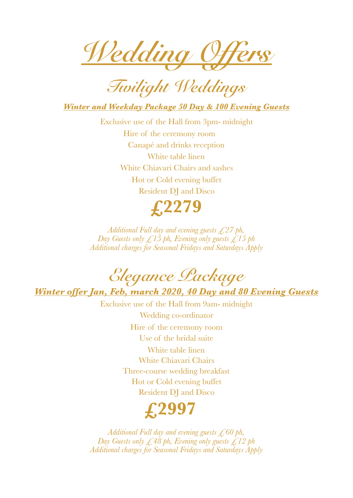*Wedding Offers* 

*Twilight Weddings* 

*Winter and Weekday Package 50 Day & 100 Evening Guests* 

Exclusive use of the Hall from 3pm- midnight Hire of the ceremony room Canapé and drinks reception White table linen White Chiavari Chairs and sashes Hot or Cold evening buffet Resident DJ and Disco



*Additional Full day and evening guests £27 ph, Day Guests only £15 ph, Evening only guests £15 ph Additional charges for Seasonal Fridays and Saturdays Apply*

*Elegance Package Winter offer Jan, Feb, march 2020, 40 Day and 80 Evening Guests* 

Exclusive use of the Hall from 9am- midnight Wedding co-ordinator Hire of the ceremony room Use of the bridal suite White table linen White Chiavari Chairs Three-course wedding breakfast Hot or Cold evening buffet Resident DJ and Disco



*Additional Full day and evening guests £60 ph, Day Guests only £48 ph, Evening only guests £12 ph Additional charges for Seasonal Fridays and Saturdays Apply*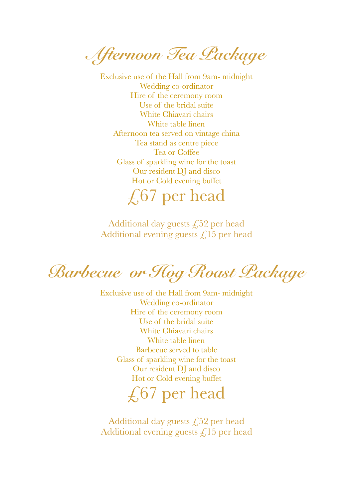*Afternoon Tea Package* 

Exclusive use of the Hall from 9am- midnight Wedding co-ordinator Hire of the ceremony room Use of the bridal suite White Chiavari chairs White table linen Afternoon tea served on vintage china Tea stand as centre piece Tea or Coffee Glass of sparkling wine for the toast Our resident DJ and disco Hot or Cold evening buffet

 $\angle 67$  per head

Additional day guests  $\sqrt{52}$  per head Additional evening guests  $\mathcal{L}$  15 per head

*Barbecue or Hog Roast Package* 

Exclusive use of the Hall from 9am- midnight Wedding co-ordinator Hire of the ceremony room Use of the bridal suite White Chiavari chairs White table linen Barbecue served to table Glass of sparkling wine for the toast Our resident DJ and disco Hot or Cold evening buffet

 $\sqrt{67}$  per head

Additional day guests  $\sqrt{252}$  per head Additional evening guests  $\mathcal{L}$  15 per head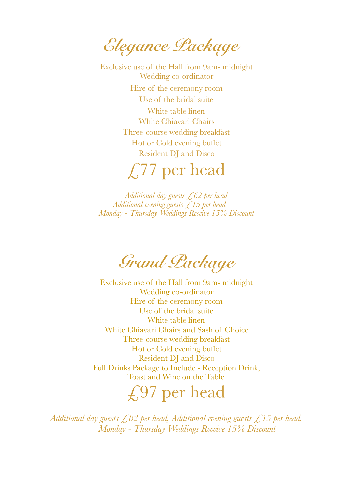*Elegance Package* 

Exclusive use of the Hall from 9am- midnight Wedding co-ordinator Hire of the ceremony room Use of the bridal suite White table linen White Chiavari Chairs Three-course wedding breakfast Hot or Cold evening buffet Resident DJ and Disco

 $\angle$  77 per head

*Additional day guests £62 per head Additional evening guests £15 per head Monday - Thursday Weddings Receive 15% Discount* 

*Grand Package* 

Exclusive use of the Hall from 9am- midnight Wedding co-ordinator Hire of the ceremony room Use of the bridal suite White table linen White Chiavari Chairs and Sash of Choice Three-course wedding breakfast Hot or Cold evening buffet Resident DJ and Disco Full Drinks Package to Include - Reception Drink, Toast and Wine on the Table.

## $£97$  per head

*Additional day guests £82 per head, Additional evening guests £15 per head. Monday - Thursday Weddings Receive 15% Discount*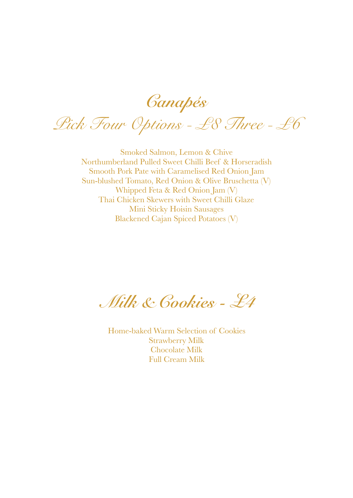*Canapés*

*Pick Four Options - £8 Three - £6* 

Smoked Salmon, Lemon & Chive Northumberland Pulled Sweet Chilli Beef & Horseradish Smooth Pork Pate with Caramelised Red Onion Jam Sun-blushed Tomato, Red Onion & Olive Bruschetta (V) Whipped Feta & Red Onion Jam (V) Thai Chicken Skewers with Sweet Chilli Glaze Mini Sticky Hoisin Sausages Blackened Cajan Spiced Potatoes (V)

 *Milk & Cookies - £4* 

Home-baked Warm Selection of Cookies Strawberry Milk Chocolate Milk Full Cream Milk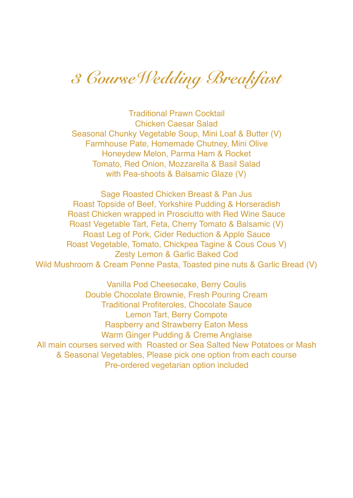*3 CourseWedding Breakfast* 

Traditional Prawn Cocktail Chicken Caesar Salad Seasonal Chunky Vegetable Soup, Mini Loaf & Butter (V) Farmhouse Pate, Homemade Chutney, Mini Olive Honeydew Melon, Parma Ham & Rocket Tomato, Red Onion, Mozzarella & Basil Salad with Pea-shoots & Balsamic Glaze (V)

Sage Roasted Chicken Breast & Pan Jus Roast Topside of Beef, Yorkshire Pudding & Horseradish Roast Chicken wrapped in Prosciutto with Red Wine Sauce Roast Vegetable Tart, Feta, Cherry Tomato & Balsamic (V) Roast Leg of Pork, Cider Reduction & Apple Sauce Roast Vegetable, Tomato, Chickpea Tagine & Cous Cous V) Zesty Lemon & Garlic Baked Cod Wild Mushroom & Cream Penne Pasta, Toasted pine nuts & Garlic Bread (V)

Vanilla Pod Cheesecake, Berry Coulis Double Chocolate Brownie, Fresh Pouring Cream Traditional Profiteroles, Chocolate Sauce Lemon Tart, Berry Compote Raspberry and Strawberry Eaton Mess Warm Ginger Pudding & Creme Anglaise All main courses served with Roasted or Sea Salted New Potatoes or Mash & Seasonal Vegetables, Please pick one option from each course Pre-ordered vegetarian option included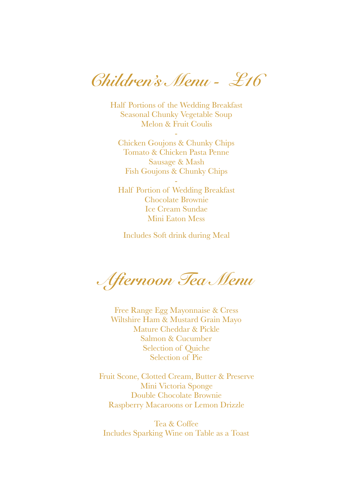*Children's Menu - £16* 

Half Portions of the Wedding Breakfast Seasonal Chunky Vegetable Soup Melon & Fruit Coulis

-

Chicken Goujons & Chunky Chips Tomato & Chicken Pasta Penne Sausage & Mash Fish Goujons & Chunky Chips

- Half Portion of Wedding Breakfast Chocolate Brownie Ice Cream Sundae Mini Eaton Mess

Includes Soft drink during Meal

*Afternoon Tea Menu* 

Free Range Egg Mayonnaise & Cress Wiltshire Ham & Mustard Grain Mayo Mature Cheddar & Pickle Salmon & Cucumber Selection of Quiche Selection of Pie

Fruit Scone, Clotted Cream, Butter & Preserve Mini Victoria Sponge Double Chocolate Brownie Raspberry Macaroons or Lemon Drizzle

Tea & Coffee Includes Sparking Wine on Table as a Toast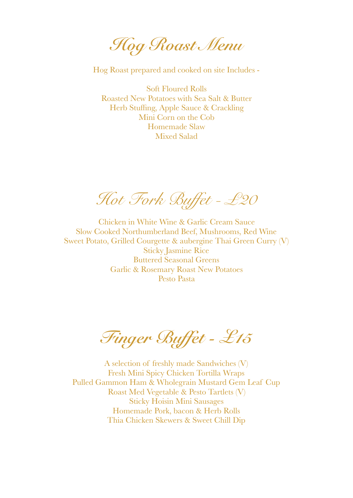*Hog Roast Menu* 

Hog Roast prepared and cooked on site Includes -

Soft Floured Rolls Roasted New Potatoes with Sea Salt & Butter Herb Stuffing, Apple Sauce & Crackling Mini Corn on the Cob Homemade Slaw Mixed Salad

*Hot Fork Buffet - £20*

Chicken in White Wine & Garlic Cream Sauce Slow Cooked Northumberland Beef, Mushrooms, Red Wine Sweet Potato, Grilled Courgette & aubergine Thai Green Curry (V) Sticky Jasmine Rice Buttered Seasonal Greens Garlic & Rosemary Roast New Potatoes Pesto Pasta

*Finger Buffet - £15* 

A selection of freshly made Sandwiches (V) Fresh Mini Spicy Chicken Tortilla Wraps Pulled Gammon Ham & Wholegrain Mustard Gem Leaf Cup Roast Med Vegetable & Pesto Tartlets (V) Sticky Hoisin Mini Sausages Homemade Pork, bacon & Herb Rolls Thia Chicken Skewers & Sweet Chill Dip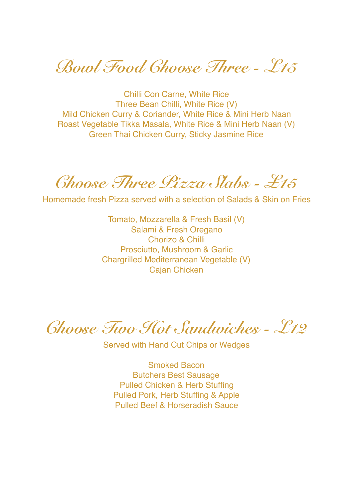*Bowl Food Choose Three - £15* 

Chilli Con Carne, White Rice Three Bean Chilli, White Rice (V) Mild Chicken Curry & Coriander, White Rice & Mini Herb Naan Roast Vegetable Tikka Masala, White Rice & Mini Herb Naan (V) Green Thai Chicken Curry, Sticky Jasmine Rice

*Choose Three Pizza Slabs - £15* 

Homemade fresh Pizza served with a selection of Salads & Skin on Fries

Tomato, Mozzarella & Fresh Basil (V) Salami & Fresh Oregano Chorizo & Chilli Prosciutto, Mushroom & Garlic Chargrilled Mediterranean Vegetable (V) Cajan Chicken

*Choose Two Hot Sandwiches - £12* 

Served with Hand Cut Chips or Wedges

Smoked Bacon Butchers Best Sausage Pulled Chicken & Herb Stuffing Pulled Pork, Herb Stuffing & Apple Pulled Beef & Horseradish Sauce